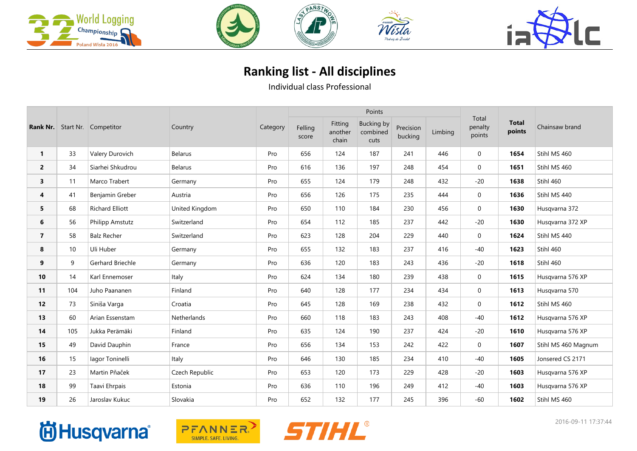





## **Ranking list - All disciplines**

Individual class Professional

|                | <b>Rank Nr.</b> Start Nr. Competitor |                         | Country        |          |                  |                             | Points                                |                      |         |                            |                        |                     |
|----------------|--------------------------------------|-------------------------|----------------|----------|------------------|-----------------------------|---------------------------------------|----------------------|---------|----------------------------|------------------------|---------------------|
|                |                                      |                         |                | Category | Felling<br>score | Fitting<br>another<br>chain | <b>Bucking by</b><br>combined<br>cuts | Precision<br>bucking | Limbing | Total<br>penalty<br>points | <b>Total</b><br>points | Chainsaw brand      |
| $\mathbf{1}$   | 33                                   | Valery Durovich         | <b>Belarus</b> | Pro      | 656              | 124                         | 187                                   | 241                  | 446     | $\mathbf 0$                | 1654                   | Stihl MS 460        |
| $\overline{2}$ | 34                                   | Siarhei Shkudrou        | <b>Belarus</b> | Pro      | 616              | 136                         | 197                                   | 248                  | 454     | $\mathbf 0$                | 1651                   | Stihl MS 460        |
| 3              | 11                                   | Marco Trabert           | Germany        | Pro      | 655              | 124                         | 179                                   | 248                  | 432     | $-20$                      | 1638                   | Stihl 460           |
| 4              | 41                                   | Benjamin Greber         | Austria        | Pro      | 656              | 126                         | 175                                   | 235                  | 444     | $\boldsymbol{0}$           | 1636                   | Stihl MS 440        |
| 5              | 68                                   | <b>Richard Elliott</b>  | United Kingdom | Pro      | 650              | 110                         | 184                                   | 230                  | 456     | $\mathbf 0$                | 1630                   | Husqvarna 372       |
| 6              | 56                                   | <b>Philipp Amstutz</b>  | Switzerland    | Pro      | 654              | 112                         | 185                                   | 237                  | 442     | $-20$                      | 1630                   | Husqvarna 372 XP    |
| $\overline{7}$ | 58                                   | <b>Balz Recher</b>      | Switzerland    | Pro      | 623              | 128                         | 204                                   | 229                  | 440     | $\mathbf 0$                | 1624                   | Stihl MS 440        |
| 8              | 10 <sup>°</sup>                      | Uli Huber               | Germany        | Pro      | 655              | 132                         | 183                                   | 237                  | 416     | $-40$                      | 1623                   | Stihl 460           |
| 9              | 9                                    | <b>Gerhard Briechle</b> | Germany        | Pro      | 636              | 120                         | 183                                   | 243                  | 436     | $-20$                      | 1618                   | Stihl 460           |
| 10             | 14                                   | Karl Ennemoser          | Italy          | Pro      | 624              | 134                         | 180                                   | 239                  | 438     | $\mathbf 0$                | 1615                   | Husqvarna 576 XP    |
| 11             | 104                                  | Juho Paananen           | Finland        | Pro      | 640              | 128                         | 177                                   | 234                  | 434     | $\mathbf 0$                | 1613                   | Husqvarna 570       |
| 12             | 73                                   | Siniša Varga            | Croatia        | Pro      | 645              | 128                         | 169                                   | 238                  | 432     | $\mathbf 0$                | 1612                   | Stihl MS 460        |
| 13             | 60                                   | Arian Essenstam         | Netherlands    | Pro      | 660              | 118                         | 183                                   | 243                  | 408     | $-40$                      | 1612                   | Husqvarna 576 XP    |
| 14             | 105                                  | Jukka Perämäki          | Finland        | Pro      | 635              | 124                         | 190                                   | 237                  | 424     | $-20$                      | 1610                   | Husqvarna 576 XP    |
| 15             | 49                                   | David Dauphin           | France         | Pro      | 656              | 134                         | 153                                   | 242                  | 422     | $\mathbf 0$                | 1607                   | Stihl MS 460 Magnum |
| 16             | 15                                   | lagor Toninelli         | Italy          | Pro      | 646              | 130                         | 185                                   | 234                  | 410     | $-40$                      | 1605                   | Jonsered CS 2171    |
| 17             | 23                                   | Martin Pňaček           | Czech Republic | Pro      | 653              | 120                         | 173                                   | 229                  | 428     | $-20$                      | 1603                   | Husgvarna 576 XP    |
| 18             | 99                                   | Taavi Ehrpais           | Estonia        | Pro      | 636              | 110                         | 196                                   | 249                  | 412     | $-40$                      | 1603                   | Husqvarna 576 XP    |
| 19             | 26                                   | Jaroslav Kukuc          | Slovakia       | Pro      | 652              | 132                         | 177                                   | 245                  | 396     | $-60$                      | 1602                   | Stihl MS 460        |





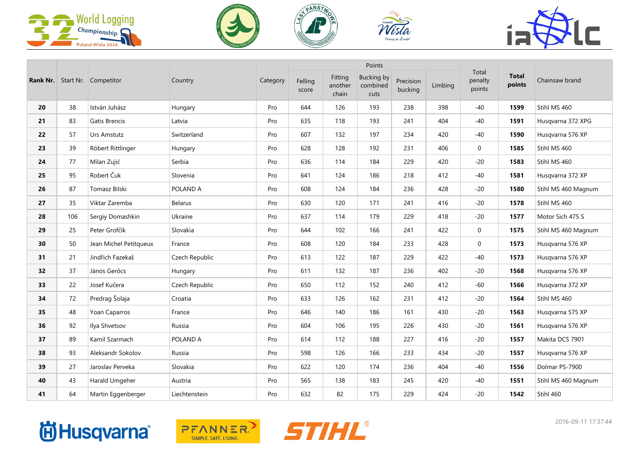







|    |     | <b>Rank Nr.</b> Start Nr. Competitor |                |          |                  |                             | Points                                |                      |         | Total<br>penalty<br>points |                        | Chainsaw brand      |
|----|-----|--------------------------------------|----------------|----------|------------------|-----------------------------|---------------------------------------|----------------------|---------|----------------------------|------------------------|---------------------|
|    |     |                                      | Country        | Category | Felling<br>score | Fitting<br>another<br>chain | <b>Bucking by</b><br>combined<br>cuts | Precision<br>bucking | Limbing |                            | <b>Total</b><br>points |                     |
| 20 | 38  | István Juhász                        | Hungary        | Pro      | 644              | 126                         | 193                                   | 238                  | 398     | $-40$                      | 1599                   | Stihl MS 460        |
| 21 | 83  | Gatis Brencis                        | Latvia         | Pro      | 635              | 118                         | 193                                   | 241                  | 404     | $-40$                      | 1591                   | Husqvarna 372 XPG   |
| 22 | 57  | Urs Amstutz                          | Switzerland    | Pro      | 607              | 132                         | 197                                   | 234                  | 420     | $-40$                      | 1590                   | Husqvarna 576 XP    |
| 23 | 39  | Róbert Rittlinger                    | Hungary        | Pro      | 628              | 128                         | 192                                   | 231                  | 406     | $\mathbf{0}$               | 1585                   | Stihl MS 460        |
| 24 | 77  | Milan Zujić                          | Serbia         | Pro      | 636              | 114                         | 184                                   | 229                  | 420     | $-20$                      | 1583                   | Stihl MS 460        |
| 25 | 95  | Robert Čuk                           | Slovenia       | Pro      | 641              | 124                         | 186                                   | 218                  | 412     | $-40$                      | 1581                   | Husqvarna 372 XP    |
| 26 | 87  | Tomasz Bilski                        | POLAND A       | Pro      | 608              | 124                         | 184                                   | 236                  | 428     | $-20$                      | 1580                   | Stihl MS 460 Magnum |
| 27 | 35  | Viktar Zaremba                       | <b>Belarus</b> | Pro      | 630              | 120                         | 171                                   | 241                  | 416     | $-20$                      | 1578                   | Stihl MS 460        |
| 28 | 106 | Sergiy Domashkin                     | Ukraine        | Pro      | 637              | 114                         | 179                                   | 229                  | 418     | $-20$                      | 1577                   | Motor Sich 475 S    |
| 29 | 25  | Peter Grofčík                        | Slovakia       | Pro      | 644              | 102                         | 166                                   | 241                  | 422     | $\mathbf 0$                | 1575                   | Stihl MS 460 Magnum |
| 30 | 50  | Jean Michel Petitqueux               | France         | Pro      | 608              | 120                         | 184                                   | 233                  | 428     | $\mathbf 0$                | 1573                   | Husqvarna 576 XP    |
| 31 | 21  | Jindřich Fazekaš                     | Czech Republic | Pro      | 613              | 122                         | 187                                   | 229                  | 422     | $-40$                      | 1573                   | Husqvarna 576 XP    |
| 32 | 37  | János Gerőcs                         | Hungary        | Pro      | 611              | 132                         | 187                                   | 236                  | 402     | $-20$                      | 1568                   | Husqvarna 576 XP    |
| 33 | 22  | Josef Kučera                         | Czech Republic | Pro      | 650              | 112                         | 152                                   | 240                  | 412     | $-60$                      | 1566                   | Husqvarna 372 XP    |
| 34 | 72  | Predrag Šolaja                       | Croatia        | Pro      | 633              | 126                         | 162                                   | 231                  | 412     | $-20$                      | 1564                   | Stihl MS 460        |
| 35 | 48  | Yoan Caparros                        | France         | Pro      | 646              | 140                         | 186                                   | 161                  | 430     | $-20$                      | 1563                   | Husqvarna 575 XP    |
| 36 | 92  | Ilya Shvetsov                        | Russia         | Pro      | 604              | 106                         | 195                                   | 226                  | 430     | $-20$                      | 1561                   | Husqvarna 576 XP    |
| 37 | 89  | Kamil Szarmach                       | POLAND A       | Pro      | 614              | 112                         | 188                                   | 227                  | 416     | $-20$                      | 1557                   | Makita DCS 7901     |
| 38 | 93  | Aleksandr Sokolov                    | Russia         | Pro      | 598              | 126                         | 166                                   | 233                  | 434     | $-20$                      | 1557                   | Husqvarna 576 XP    |
| 39 | 27  | Jaroslav Perveka                     | Slovakia       | Pro      | 622              | 120                         | 174                                   | 236                  | 404     | $-40$                      | 1556                   | Dolmar PS-7900      |
| 40 | 43  | Harald Umgeher                       | Austria        | Pro      | 565              | 138                         | 183                                   | 245                  | 420     | $-40$                      | 1551                   | Stihl MS 460 Magnum |
| 41 | 64  | Martin Eggenberger                   | Liechtenstein  | Pro      | 632              | 82                          | 175                                   | 229                  | 424     | $-20$                      | 1542                   | Stihl 460           |

## **尚Husqvarna**



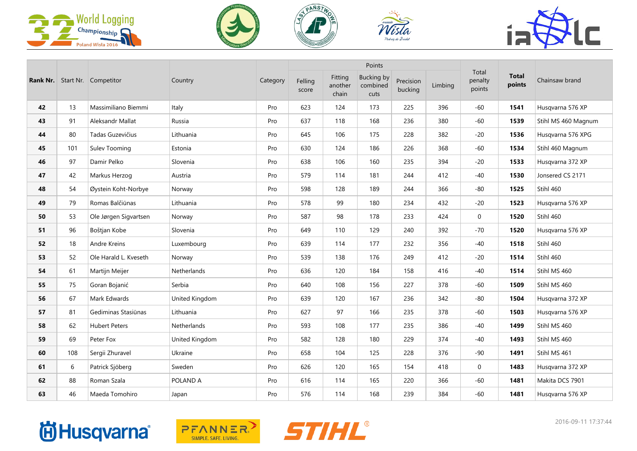







|    |     | <b>Rank Nr.</b> Start Nr. Competitor |                |          |                  |                             | Points                                |                      |         |                            |                        |                     |
|----|-----|--------------------------------------|----------------|----------|------------------|-----------------------------|---------------------------------------|----------------------|---------|----------------------------|------------------------|---------------------|
|    |     |                                      | Country        | Category | Felling<br>score | Fitting<br>another<br>chain | <b>Bucking by</b><br>combined<br>cuts | Precision<br>bucking | Limbing | Total<br>penalty<br>points | <b>Total</b><br>points | Chainsaw brand      |
| 42 | 13  | Massimiliano Biemmi                  | Italy          | Pro      | 623              | 124                         | 173                                   | 225                  | 396     | $-60$                      | 1541                   | Husqvarna 576 XP    |
| 43 | 91  | Aleksandr Mallat                     | Russia         | Pro      | 637              | 118                         | 168                                   | 236                  | 380     | $-60$                      | 1539                   | Stihl MS 460 Magnum |
| 44 | 80  | Tadas Guzevičius                     | Lithuania      | Pro      | 645              | 106                         | 175                                   | 228                  | 382     | $-20$                      | 1536                   | Husqvarna 576 XPG   |
| 45 | 101 | Sulev Tooming                        | Estonia        | Pro      | 630              | 124                         | 186                                   | 226                  | 368     | $-60$                      | 1534                   | Stihl 460 Magnum    |
| 46 | 97  | Damir Pelko                          | Slovenia       | Pro      | 638              | 106                         | 160                                   | 235                  | 394     | $-20$                      | 1533                   | Husqvarna 372 XP    |
| 47 | 42  | Markus Herzog                        | Austria        | Pro      | 579              | 114                         | 181                                   | 244                  | 412     | $-40$                      | 1530                   | Jonsered CS 2171    |
| 48 | 54  | Øystein Koht-Norbye                  | Norway         | Pro      | 598              | 128                         | 189                                   | 244                  | 366     | $-80$                      | 1525                   | Stihl 460           |
| 49 | 79  | Romas Balčiūnas                      | Lithuania      | Pro      | 578              | 99                          | 180                                   | 234                  | 432     | $-20$                      | 1523                   | Husqvarna 576 XP    |
| 50 | 53  | Ole Jørgen Sigvartsen                | Norway         | Pro      | 587              | 98                          | 178                                   | 233                  | 424     | $\mathbf{0}$               | 1520                   | Stihl 460           |
| 51 | 96  | Boštjan Kobe                         | Slovenia       | Pro      | 649              | 110                         | 129                                   | 240                  | 392     | $-70$                      | 1520                   | Husqvarna 576 XP    |
| 52 | 18  | Andre Kreins                         | Luxembourg     | Pro      | 639              | 114                         | 177                                   | 232                  | 356     | $-40$                      | 1518                   | Stihl 460           |
| 53 | 52  | Ole Harald L. Kveseth                | Norway         | Pro      | 539              | 138                         | 176                                   | 249                  | 412     | $-20$                      | 1514                   | Stihl 460           |
| 54 | 61  | Martijn Meijer                       | Netherlands    | Pro      | 636              | 120                         | 184                                   | 158                  | 416     | $-40$                      | 1514                   | Stihl MS 460        |
| 55 | 75  | Goran Bojanić                        | Serbia         | Pro      | 640              | 108                         | 156                                   | 227                  | 378     | $-60$                      | 1509                   | Stihl MS 460        |
| 56 | 67  | Mark Edwards                         | United Kingdom | Pro      | 639              | 120                         | 167                                   | 236                  | 342     | $-80$                      | 1504                   | Husqvarna 372 XP    |
| 57 | 81  | Gediminas Stasiūnas                  | Lithuania      | Pro      | 627              | 97                          | 166                                   | 235                  | 378     | $-60$                      | 1503                   | Husqvarna 576 XP    |
| 58 | 62  | <b>Hubert Peters</b>                 | Netherlands    | Pro      | 593              | 108                         | 177                                   | 235                  | 386     | $-40$                      | 1499                   | Stihl MS 460        |
| 59 | 69  | Peter Fox                            | United Kingdom | Pro      | 582              | 128                         | 180                                   | 229                  | 374     | $-40$                      | 1493                   | Stihl MS 460        |
| 60 | 108 | Sergii Zhuravel                      | Ukraine        | Pro      | 658              | 104                         | 125                                   | 228                  | 376     | $-90$                      | 1491                   | Stihl MS 461        |
| 61 | 6   | Patrick Sjöberg                      | Sweden         | Pro      | 626              | 120                         | 165                                   | 154                  | 418     | $\mathbf 0$                | 1483                   | Husqvarna 372 XP    |
| 62 | 88  | Roman Szala                          | POLAND A       | Pro      | 616              | 114                         | 165                                   | 220                  | 366     | $-60$                      | 1481                   | Makita DCS 7901     |
| 63 | 46  | Maeda Tomohiro                       | Japan          | Pro      | 576              | 114                         | 168                                   | 239                  | 384     | $-60$                      | 1481                   | Husqvarna 576 XP    |

## **尚Husqvarna**